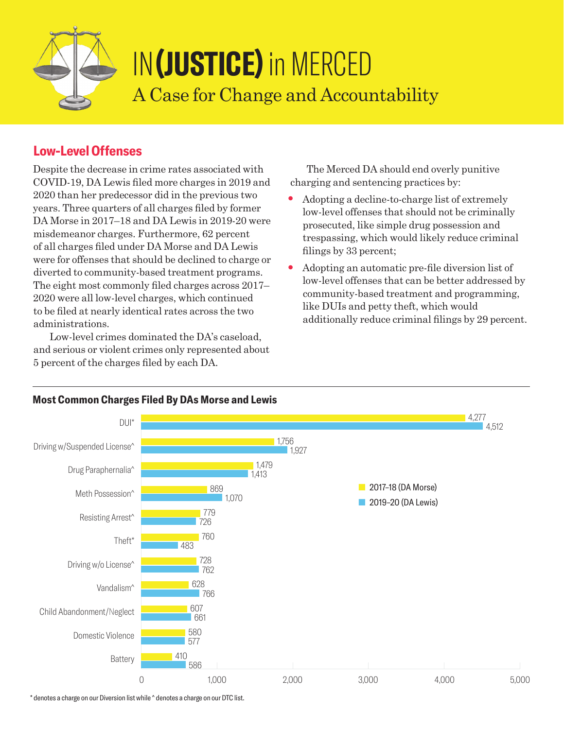

# IN**(JUSTICE)** in MERCED A Case for Change and Accountability

## **Low-Level Offenses**

Despite the decrease in crime rates associated with COVID-19, DA Lewis filed more charges in 2019 and 2020 than her predecessor did in the previous two years. Three quarters of all charges filed by former DA Morse in 2017–18 and DA Lewis in 2019-20 were misdemeanor charges. Furthermore, 62 percent of all charges filed under DA Morse and DA Lewis were for offenses that should be declined to charge or diverted to community-based treatment programs. The eight most commonly filed charges across 2017– 2020 were all low-level charges, which continued to be filed at nearly identical rates across the two administrations.

Low-level crimes dominated the DA's caseload, and serious or violent crimes only represented about 5 percent of the charges filed by each DA.

The Merced DA should end overly punitive charging and sentencing practices by:

- Adopting a decline-to-charge list of extremely low-level offenses that should not be criminally prosecuted, like simple drug possession and trespassing, which would likely reduce criminal filings by 33 percent;
- Adopting an automatic pre-file diversion list of low-level offenses that can be better addressed by community-based treatment and programming, like DUIs and petty theft, which would additionally reduce criminal filings by 29 percent.



#### **Most Common Charges Filed By DAs Morse and Lewis**

\* denotes a charge on our Diversion list while ^ denotes a charge on our DTC list.